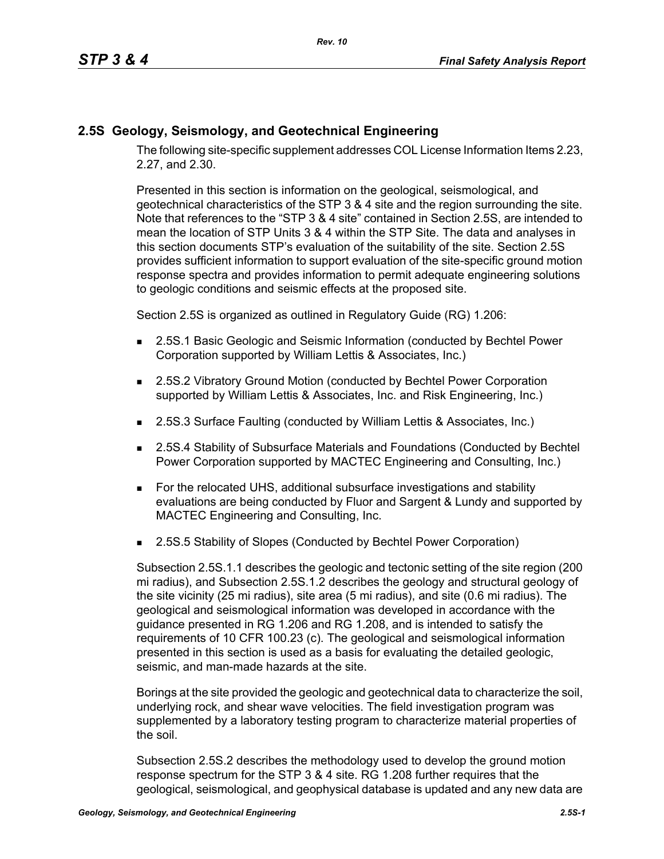## **2.5S Geology, Seismology, and Geotechnical Engineering**

The following site-specific supplement addresses COL License Information Items 2.23, 2.27, and 2.30.

Presented in this section is information on the geological, seismological, and geotechnical characteristics of the STP 3 & 4 site and the region surrounding the site. Note that references to the "STP 3 & 4 site" contained in Section 2.5S, are intended to mean the location of STP Units 3 & 4 within the STP Site. The data and analyses in this section documents STP's evaluation of the suitability of the site. Section 2.5S provides sufficient information to support evaluation of the site-specific ground motion response spectra and provides information to permit adequate engineering solutions to geologic conditions and seismic effects at the proposed site.

Section 2.5S is organized as outlined in Regulatory Guide (RG) 1.206:

- **2.5S.1 Basic Geologic and Seismic Information (conducted by Bechtel Power** Corporation supported by William Lettis & Associates, Inc.)
- 2.5S.2 Vibratory Ground Motion (conducted by Bechtel Power Corporation supported by William Lettis & Associates, Inc. and Risk Engineering, Inc.)
- 2.5S.3 Surface Faulting (conducted by William Lettis & Associates, Inc.)
- 2.5S.4 Stability of Subsurface Materials and Foundations (Conducted by Bechtel Power Corporation supported by MACTEC Engineering and Consulting, Inc.)
- For the relocated UHS, additional subsurface investigations and stability evaluations are being conducted by Fluor and Sargent & Lundy and supported by MACTEC Engineering and Consulting, Inc.
- 2.5S.5 Stability of Slopes (Conducted by Bechtel Power Corporation)

Subsection 2.5S.1.1 describes the geologic and tectonic setting of the site region (200 mi radius), and Subsection 2.5S.1.2 describes the geology and structural geology of the site vicinity (25 mi radius), site area (5 mi radius), and site (0.6 mi radius). The geological and seismological information was developed in accordance with the guidance presented in RG 1.206 and RG 1.208, and is intended to satisfy the requirements of 10 CFR 100.23 (c). The geological and seismological information presented in this section is used as a basis for evaluating the detailed geologic, seismic, and man-made hazards at the site.

Borings at the site provided the geologic and geotechnical data to characterize the soil, underlying rock, and shear wave velocities. The field investigation program was supplemented by a laboratory testing program to characterize material properties of the soil.

Subsection 2.5S.2 describes the methodology used to develop the ground motion response spectrum for the STP 3 & 4 site. RG 1.208 further requires that the geological, seismological, and geophysical database is updated and any new data are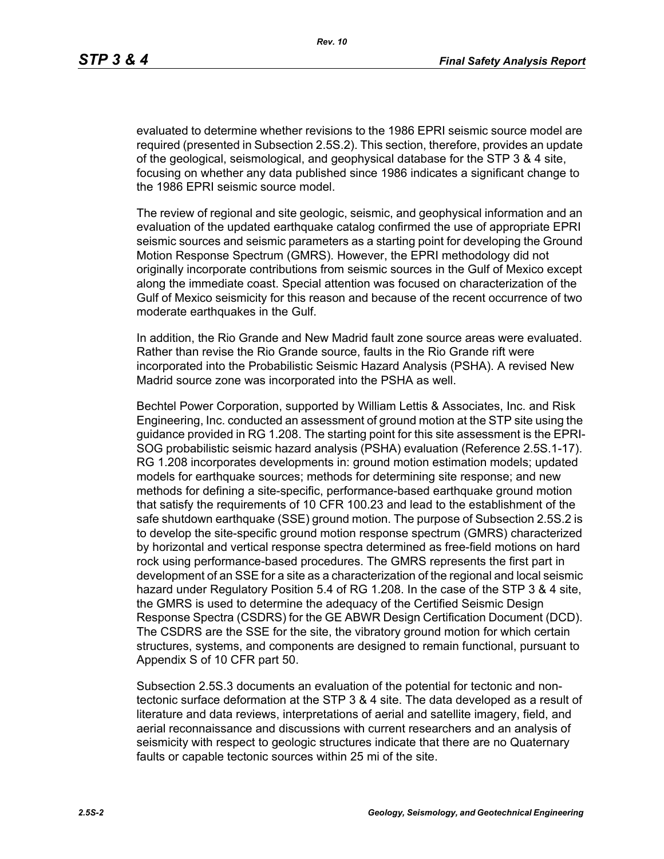evaluated to determine whether revisions to the 1986 EPRI seismic source model are required (presented in Subsection 2.5S.2). This section, therefore, provides an update of the geological, seismological, and geophysical database for the STP 3 & 4 site, focusing on whether any data published since 1986 indicates a significant change to the 1986 EPRI seismic source model.

The review of regional and site geologic, seismic, and geophysical information and an evaluation of the updated earthquake catalog confirmed the use of appropriate EPRI seismic sources and seismic parameters as a starting point for developing the Ground Motion Response Spectrum (GMRS). However, the EPRI methodology did not originally incorporate contributions from seismic sources in the Gulf of Mexico except along the immediate coast. Special attention was focused on characterization of the Gulf of Mexico seismicity for this reason and because of the recent occurrence of two moderate earthquakes in the Gulf.

In addition, the Rio Grande and New Madrid fault zone source areas were evaluated. Rather than revise the Rio Grande source, faults in the Rio Grande rift were incorporated into the Probabilistic Seismic Hazard Analysis (PSHA). A revised New Madrid source zone was incorporated into the PSHA as well.

Bechtel Power Corporation, supported by William Lettis & Associates, Inc. and Risk Engineering, Inc. conducted an assessment of ground motion at the STP site using the guidance provided in RG 1.208. The starting point for this site assessment is the EPRI-SOG probabilistic seismic hazard analysis (PSHA) evaluation (Reference 2.5S.1-17). RG 1.208 incorporates developments in: ground motion estimation models; updated models for earthquake sources; methods for determining site response; and new methods for defining a site-specific, performance-based earthquake ground motion that satisfy the requirements of 10 CFR 100.23 and lead to the establishment of the safe shutdown earthquake (SSE) ground motion. The purpose of Subsection 2.5S.2 is to develop the site-specific ground motion response spectrum (GMRS) characterized by horizontal and vertical response spectra determined as free-field motions on hard rock using performance-based procedures. The GMRS represents the first part in development of an SSE for a site as a characterization of the regional and local seismic hazard under Regulatory Position 5.4 of RG 1.208. In the case of the STP 3 & 4 site, the GMRS is used to determine the adequacy of the Certified Seismic Design Response Spectra (CSDRS) for the GE ABWR Design Certification Document (DCD). The CSDRS are the SSE for the site, the vibratory ground motion for which certain structures, systems, and components are designed to remain functional, pursuant to Appendix S of 10 CFR part 50.

Subsection 2.5S.3 documents an evaluation of the potential for tectonic and nontectonic surface deformation at the STP 3 & 4 site. The data developed as a result of literature and data reviews, interpretations of aerial and satellite imagery, field, and aerial reconnaissance and discussions with current researchers and an analysis of seismicity with respect to geologic structures indicate that there are no Quaternary faults or capable tectonic sources within 25 mi of the site.